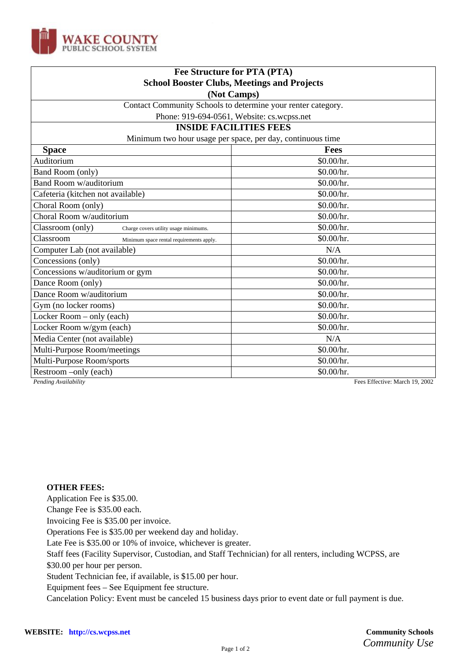

| Fee Structure for PTA (PTA)                                  |                                |
|--------------------------------------------------------------|--------------------------------|
| <b>School Booster Clubs, Meetings and Projects</b>           |                                |
| (Not Camps)                                                  |                                |
| Contact Community Schools to determine your renter category. |                                |
| Phone: 919-694-0561, Website: cs.wcpss.net                   |                                |
| <b>INSIDE FACILITIES FEES</b>                                |                                |
| Minimum two hour usage per space, per day, continuous time   |                                |
| <b>Space</b>                                                 | <b>Fees</b>                    |
| Auditorium                                                   | \$0.00/hr.                     |
| Band Room (only)                                             | \$0.00/hr.                     |
| <b>Band Room w/auditorium</b>                                | \$0.00/hr.                     |
| Cafeteria (kitchen not available)                            | \$0.00/hr.                     |
| Choral Room (only)                                           | \$0.00/hr.                     |
| Choral Room w/auditorium                                     | \$0.00/hr.                     |
| Classroom (only)<br>Charge covers utility usage minimums.    | \$0.00/hr.                     |
| Classroom<br>Minimum space rental requirements apply.        | \$0.00/hr.                     |
| Computer Lab (not available)                                 | N/A                            |
| Concessions (only)                                           | \$0.00/hr.                     |
| Concessions w/auditorium or gym                              | \$0.00/hr.                     |
| Dance Room (only)                                            | \$0.00/hr.                     |
| Dance Room w/auditorium                                      | \$0.00/hr.                     |
| Gym (no locker rooms)                                        | \$0.00/hr.                     |
| Locker Room - only (each)                                    | \$0.00/hr.                     |
| Locker Room w/gym (each)                                     | \$0.00/hr.                     |
| Media Center (not available)                                 | N/A                            |
| Multi-Purpose Room/meetings                                  | \$0.00/hr.                     |
| Multi-Purpose Room/sports                                    | \$0.00/hr.                     |
| Restroom -only (each)                                        | \$0.00/hr.                     |
| Pending Availability                                         | Fees Effective: March 19, 2002 |

## **OTHER FEES:**

Application Fee is \$35.00.

Change Fee is \$35.00 each.

Invoicing Fee is \$35.00 per invoice.

Operations Fee is \$35.00 per weekend day and holiday.

Late Fee is \$35.00 or 10% of invoice, whichever is greater.

Staff fees (Facility Supervisor, Custodian, and Staff Technician) for all renters, including WCPSS, are

\$30.00 per hour per person.

Student Technician fee, if available, is \$15.00 per hour.

Equipment fees – See Equipment fee structure.

Cancelation Policy: Event must be canceled 15 business days prior to event date or full payment is due.